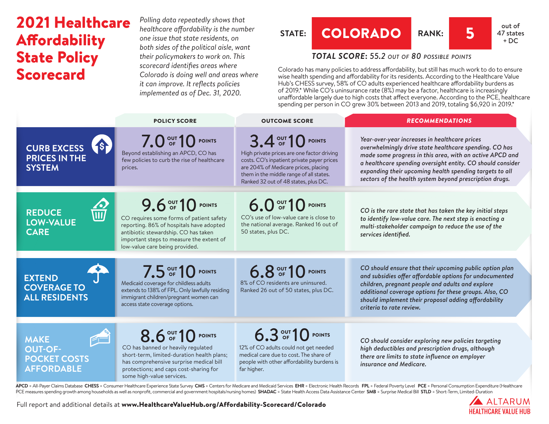## 2021 Healthcare **Affordability** State Policy Scorecard

*Polling data repeatedly shows that healthcare affordability is the number one issue that state residents, on both sides of the political aisle, want their policymakers to work on. This scorecard identifies areas where Colorado is doing well and areas where it can improve. It reflects policies implemented as of Dec. 31, 2020.*



### *TOTAL SCORE***:** *55.2 out of 80 possible points*

Colorado has many policies to address affordability, but still has much work to do to ensure wise health spending and affordability for its residents. According to the Healthcare Value Hub's CHESS survey, 58% of CO adults experienced healthcare affordability burdens as of 2019.\* While CO's uninsurance rate (8%) may be a factor, healthcare is increasingly unaffordable largely due to high costs that affect everyone. According to the PCE, healthcare spending per person in CO grew 30% between 2013 and 2019, totaling \$6,920 in 2019.\*

|                                                                           | <b>POLICY SCORE</b>                                                                                                                                                                                                             | <b>OUTCOME SCORE</b>                                                                                                                                                                                                                     | <b>RECOMMENDATIONS</b>                                                                                                                                                                                                                                                                                                                                  |
|---------------------------------------------------------------------------|---------------------------------------------------------------------------------------------------------------------------------------------------------------------------------------------------------------------------------|------------------------------------------------------------------------------------------------------------------------------------------------------------------------------------------------------------------------------------------|---------------------------------------------------------------------------------------------------------------------------------------------------------------------------------------------------------------------------------------------------------------------------------------------------------------------------------------------------------|
| 6<br><b>CURB EXCESS</b><br><b>PRICES IN THE</b><br><b>SYSTEM</b>          | 7.0 OF 10 POINTS<br>Beyond establishing an APCD, CO has<br>few policies to curb the rise of healthcare<br>prices.                                                                                                               | 3.4 OUT 10 POINTS<br>High private prices are one factor driving<br>costs. CO's inpatient private payer prices<br>are 204% of Medicare prices, placing<br>them in the middle range of all states.<br>Ranked 32 out of 48 states, plus DC. | Year-over-year increases in healthcare prices<br>overwhelmingly drive state healthcare spending. CO has<br>made some progress in this area, with an active APCD and<br>a healthcare spending oversight entity. CO should consider<br>expanding their upcoming health spending targets to all<br>sectors of the health system beyond prescription drugs. |
| <b>REDUCE</b><br><b>LOW-VALUE</b><br><b>CARE</b>                          | 9.6 OUT 10 POINTS<br>CO requires some forms of patient safety<br>reporting. 86% of hospitals have adopted<br>antibiotic stewardship. CO has taken<br>important steps to measure the extent of<br>low-value care being provided. | 6.0 OF 10 POINTS<br>CO's use of low-value care is close to<br>the national average. Ranked 16 out of<br>50 states, plus DC.                                                                                                              | CO is the rare state that has taken the key initial steps<br>to identify low-value care. The next step is enacting a<br>multi-stakeholder campaign to reduce the use of the<br>services identified.                                                                                                                                                     |
| <b>EXTEND</b><br><b>COVERAGE TO</b><br><b>ALL RESIDENTS</b>               | 7.5 OUT 10 POINTS<br>Medicaid coverage for childless adults<br>extends to 138% of FPL. Only lawfully residing<br>immigrant children/pregnant women can<br>access state coverage options.                                        | 6.8 OUT 10 POINTS<br>8% of CO residents are uninsured.<br>Ranked 26 out of 50 states, plus DC.                                                                                                                                           | CO should ensure that their upcoming public option plan<br>and subsidies offer affordable options for undocumented<br>children, pregnant people and adults and explore<br>additional coverage options for these groups. Also, CO<br>should implement their proposal adding affordability<br>criteria to rate review.                                    |
| <b>MAKE</b><br><b>OUT-OF-</b><br><b>POCKET COSTS</b><br><b>AFFORDABLE</b> | 8.6 OUT 10 POINTS<br>CO has banned or heavily regulated<br>short-term, limited-duration health plans;<br>has comprehensive surprise medical bill<br>protections; and caps cost-sharing for<br>some high-value services.         | 6.3 OUT 10 POINTS<br>12% of CO adults could not get needed<br>medical care due to cost. The share of<br>people with other affordability burdens is<br>far higher.                                                                        | CO should consider exploring new policies targeting<br>high deductibles and prescription drugs, although<br>there are limits to state influence on employer<br>insurance and Medicare.                                                                                                                                                                  |

APCD = All-Payer Claims Database CHESS = Consumer Healthcare Experience State Survey CMS = Centers for Medicare and Medicaid Services EHR = Electronic Health Records FPL = Federal Poverty Level PCE = Personal Consumption E PCE measures spending growth among households as well as nonprofit, commercial and government hospitals/nursing homes) SHADAC = State Health Access Data Assistance Center SMB = Surprise Medical Bill STLD = Short-Term, Limi

Full report and additional details at [www.HealthcareValueHub.org/Affordability-Scorecard/C](https://www.HealthcareValueHub.org/Affordability-Scorecard/Colorado)olorado